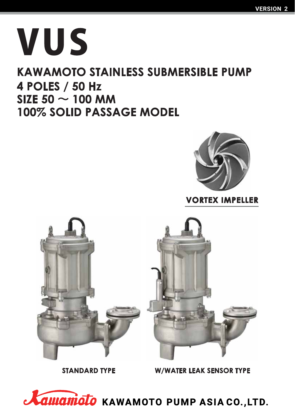# VUS

### **KAWAMOTO STAINLESS SUBMERSIBLE PUMP 4 POLES / 50 Hz** SIZE 50  $\sim$  100 MM 100% SOLID PASSAGE MODEL



### **VORTEX IMPELLER**



**STANDARD TYPE** 

**W/WATER LEAK SENSOR TYPE** 

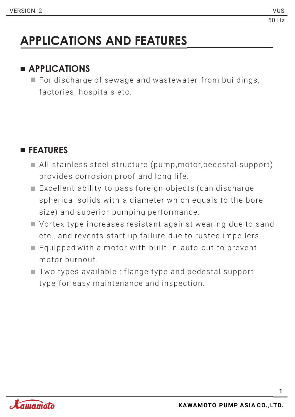## **APPLICATIONS AND FEATURES**

### **APPLICATIONS**

 $\blacksquare$  For discharge of sewage and was tewater from buildings, factories, hospitals etc.

### **FEATURES**

- $\blacksquare$  All stainless steel structure (pump, motor, pedestal support) provides corrosion proof and long life.
- $\blacksquare$  Excellent ability to pass foreign objects (can discharge spherical solids with a diameter which equals to the bore size) and superior pumping performance.
- $\blacksquare$  Vortex type increases resistant against wearing due to sand etc., and revents start up failure due to rusted impellers.
- $\blacksquare$  Equipped with a motor with built-in auto-cut to prevent motor burnout.
- $\blacksquare$  Two types available : flange type and pedestal support type for easy maintenance and inspection.

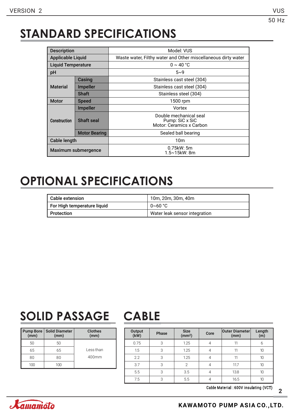### **STANDARD SPECIFICATIONS**

| <b>Description</b>       |                      | Model: VUS                                                            |  |  |  |  |  |  |
|--------------------------|----------------------|-----------------------------------------------------------------------|--|--|--|--|--|--|
| <b>Applicable Liquid</b> |                      | Waste water, Filthy water and Other miscellaneous dirty water         |  |  |  |  |  |  |
| Liquid Temperature       |                      | $0 \sim 40$ °C                                                        |  |  |  |  |  |  |
| рH                       |                      | $5 - 9$                                                               |  |  |  |  |  |  |
|                          | Casing               | Stainless cast steel (304)                                            |  |  |  |  |  |  |
| <b>Material</b>          | <b>Impeller</b>      | Stainless cast steel (304)                                            |  |  |  |  |  |  |
|                          | <b>Shaft</b>         | Stainless steel (304)                                                 |  |  |  |  |  |  |
| <b>Motor</b>             | <b>Speed</b>         | 1500 rpm                                                              |  |  |  |  |  |  |
|                          | <b>Impeller</b>      | Vortex                                                                |  |  |  |  |  |  |
| <b>Construction</b>      | <b>Shaft seal</b>    | Double mechanical seal<br>Pump: SiC x SiC<br>Motor: Ceramics x Carbon |  |  |  |  |  |  |
|                          | <b>Motor Bearing</b> | Sealed ball bearing                                                   |  |  |  |  |  |  |
| Cable length             |                      | 10 <sub>m</sub>                                                       |  |  |  |  |  |  |
| Maximum submergence      |                      | $0.75$ kW: 5m<br>1.5∼15kW: 8m                                         |  |  |  |  |  |  |

### **OPTIONAL SPECIFICATIONS**

| Cable extension             | 10m, 20m, 30m, 40m            |
|-----------------------------|-------------------------------|
| For High temperature liquid | $0~60~^{\circ}$ C             |
| Protection                  | Water leak sensor integration |

### **SOLID PASSAGE CABLE**

| <b>Pump Bore</b><br>$\overline{(mm)}$ | <b>Solid Diameter</b><br>(mm) | <b>Clothes</b><br>(mm) |
|---------------------------------------|-------------------------------|------------------------|
| 50                                    | 50                            |                        |
| 65                                    | 65                            | Less than              |
| 80                                    | 80                            | $400$ mm               |
| 1 N N                                 |                               |                        |

| Output<br>(kW) | Phase | <b>Size</b><br>(mm <sup>2</sup> ) | Core | <b>Outer Diameter</b><br>(mm) | Length<br>(m) |
|----------------|-------|-----------------------------------|------|-------------------------------|---------------|
| 0.75           | 3     | 1.25                              |      | 11                            | 6             |
| 1.5            | 3     | 1.25                              |      | 11                            | 10            |
| 2.2            | 3     | 1.25                              |      | 10                            |               |
| 3.7            | 3     | $\mathfrak{D}$                    |      | 11.7                          | 10            |
| 5.5            | 3     | 3.5                               |      | 13.8                          | 10            |
| 7.5            | 3     | 5.5                               |      | 16.5                          | 10            |

Cable Material : 600V insulating (VCT)

**2**

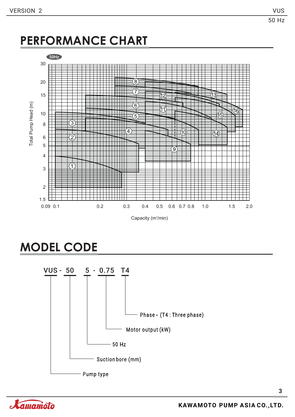### **PERFORMANCE CHART**



Capacity (m<sup>3</sup>/min)

### **MODEL CODE**



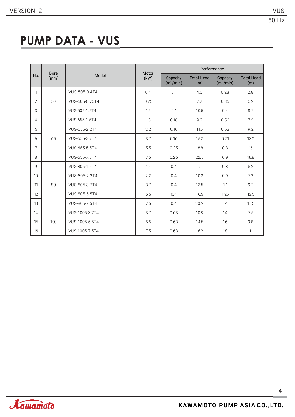### **PUMP DATA - VUS**

|                 | <b>Bore</b> |                | Motor | Performance                       |                          |                                   |                          |  |  |  |  |
|-----------------|-------------|----------------|-------|-----------------------------------|--------------------------|-----------------------------------|--------------------------|--|--|--|--|
| No.             | (mm)        | Model          | (kW)  | Capacity<br>(m <sup>3</sup> /min) | <b>Total Head</b><br>(m) | Capacity<br>(m <sup>3</sup> /min) | <b>Total Head</b><br>(m) |  |  |  |  |
| $\mathbf{1}$    |             | VUS-505-0.4T4  | 0.4   | 0.1                               | 4.0                      | 0.28                              | 2.8                      |  |  |  |  |
| 2               | 50          | VUS-505-0.75T4 | 0.75  | 0.1                               | 7.2                      | 0.36                              | 5.2                      |  |  |  |  |
| 3               |             | VUS-505-1.5T4  | 1.5   | 0.1                               | 10.5                     | 0.4                               | 8.2                      |  |  |  |  |
| 4               |             | VUS-655-1.5T4  | 1.5   | 0.16                              | 9.2                      | 0.56                              | 7.2                      |  |  |  |  |
| 5               |             | VUS-655-2.2T4  | 2.2   | 0.16                              | 11.5                     | 0.63                              | 9.2                      |  |  |  |  |
| 6               | 65          | VUS-655-3.7T4  | 3.7   | 0.16                              | 15.2                     | 0.71                              | 13.0                     |  |  |  |  |
| $\overline{7}$  |             | VUS-655-5.5T4  | 5.5   | 0.25                              | 18.8                     | 0.8                               | 16                       |  |  |  |  |
| 8               |             | VUS-655-7.5T4  | 7.5   | 0.25                              | 22.5                     | 0.9                               | 18.8                     |  |  |  |  |
| 9               |             | VUS-805-1.5T4  | 1.5   | 0.4                               | $\overline{7}$           | 0.8                               | 5.2                      |  |  |  |  |
| 10 <sup>°</sup> |             | VUS-805-2.2T4  | 2.2   | 0.4                               | 10.2                     | 0.9                               | 7.2                      |  |  |  |  |
| 11              | 80          | VUS-805-3.7T4  | 3.7   | 0.4                               | 13.5                     | 1.1                               | 9.2                      |  |  |  |  |
| 12              |             | VUS-805-5.5T4  | 5.5   | 0.4                               | 16.5                     | 1.25                              | 12.5                     |  |  |  |  |
| 13              |             | VUS-805-7.5T4  | 7.5   | 0.4                               | 20.2                     | 1.4                               | 15.5                     |  |  |  |  |
| 14              |             | VUS-1005-3.7T4 | 3.7   | 0.63                              | 10.8                     | 1.4                               | 7.5                      |  |  |  |  |
| 15              | 100         | VUS-1005-5.5T4 | 5.5   | 0.63                              | 14.5                     | 1.6                               | 9.8                      |  |  |  |  |
| 16              |             | VUS-1005-7.5T4 | 7.5   | 0.63                              | 16.2                     | 1.8                               | 11                       |  |  |  |  |

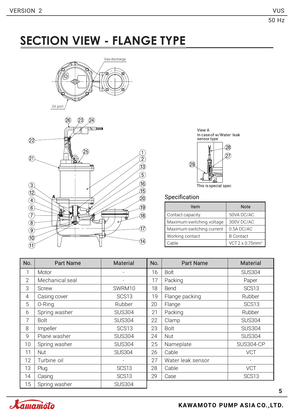### **SECTION VIEW - FLANGE TYPE**







This is special spec

#### Specification

| Item                      | <b>Note</b>                 |
|---------------------------|-----------------------------|
| Contact capacity          | 50VA DC/AC                  |
| Maximum switching voltage | 300V DC/AC                  |
| Maximum switching current | 0.5A DC/AC                  |
| Working contact           | <b>B</b> Contact            |
| Cable                     | VCT 2 x 0.75mm <sup>2</sup> |

| No.            | <b>Part Name</b> | Material                 | No. | <b>Part Name</b>  | Material         |
|----------------|------------------|--------------------------|-----|-------------------|------------------|
| 1              | Motor            |                          | 16  | <b>Bolt</b>       | <b>SUS304</b>    |
| $\overline{2}$ | Mechanical seal  | $\overline{\phantom{a}}$ | 17  | Packing           | Paper            |
| 3              | Screw            | SWRM10                   | 18  | Bend              | SCS13            |
| $\overline{4}$ | Casing cover     | SCS <sub>13</sub>        | 19  | Flange packing    | Rubber           |
| 5              | 0-Ring           | Rubber                   | 20  | Flange            | SCS13            |
| 6              | Spring washer    | <b>SUS304</b>            | 21  | Packing           | Rubber           |
| 7              | <b>Bolt</b>      | <b>SUS304</b>            | 22  | Clamp             | <b>SUS304</b>    |
| 8              | Impeller         | SCS13                    | 23  | Bolt              | <b>SUS304</b>    |
| 9              | Plane washer     | <b>SUS304</b>            | 24  | <b>Nut</b>        | <b>SUS304</b>    |
| 10             | Spring washer    | <b>SUS304</b>            | 25  | Nameplate         | <b>SUS304-CP</b> |
| 11             | <b>Nut</b>       | <b>SUS304</b>            | 26  | Cable             | <b>VCT</b>       |
| 12             | Turbine oil      |                          | 27  | Water leak sensor |                  |
| 13             | Plug             | SCS <sub>13</sub>        | 28  | Cable             | <b>VCT</b>       |
| 14             | Casing           | SCS13                    | 29  | Case              | SCS13            |
| 15             | Spring washer    | <b>SUS304</b>            |     |                   |                  |

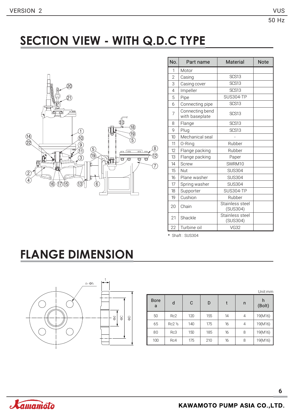### **SECTION VIEW - WITH Q.D.C TYPE**



| No.            | Part name                         | Material                    | <b>Note</b> |
|----------------|-----------------------------------|-----------------------------|-------------|
| 1              | Motor                             |                             |             |
| $\overline{2}$ | Casing                            | SCS13                       |             |
| 3              | Casing cover                      | SCS13                       |             |
| 4              | Impeller                          | <b>SCS13</b>                |             |
| 5              | Pipe                              | <b>SUS304-TP</b>            |             |
| 6              | Connecting pipe                   | <b>SCS13</b>                |             |
| $\overline{7}$ | Connecting bend<br>with baseplate | SCS <sub>13</sub>           |             |
| 8              | Flange                            | SCS <sub>13</sub>           |             |
| 9              | Plug                              | SCS <sub>13</sub>           |             |
| 10             | Mechanical seal                   |                             |             |
| 11             | 0-Ring                            | Rubber                      |             |
| 12             | Flange packing                    | Rubber                      |             |
| 13             | Flange packing                    | Paper                       |             |
| 14             | <b>Screw</b>                      | SWRM10                      |             |
| 15             | Nut                               | <b>SUS304</b>               |             |
| 16             | Plane washer                      | <b>SUS304</b>               |             |
| 17             | Spring washer                     | <b>SUS304</b>               |             |
| 18             | Supporter                         | <b>SUS304-TP</b>            |             |
| 19             | Cushion                           | Rubber                      |             |
| 20             | Chain                             | Stainless steel<br>(SUS304) |             |
| 21             | Shackle                           | Stainless steel<br>(SUS304) |             |
| 22             | Turbine oil                       | <b>VG32</b>                 |             |

\* Shaft : SUS304

### **FLANGE DIMENSION**



|                  |                  |     |     |    |   | Unit:mm     |
|------------------|------------------|-----|-----|----|---|-------------|
| <b>Bore</b><br>a | d                | C   | D   | t  | n | h<br>(Bolt) |
| 50               | Rc <sub>2</sub>  | 120 | 155 | 14 | 4 | 19(M16)     |
| 65               | $Rc2\frac{1}{2}$ | 140 | 175 | 16 | 4 | 19(M16)     |
| 80               | Rc3              | 150 | 185 | 16 | 8 | 19(M16)     |
| 100              | Rc4              | 175 | 210 | 16 | 8 | 19(M16)     |

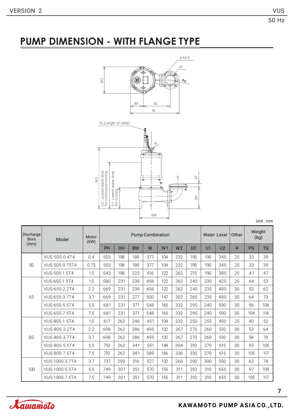### **PUMP DIMENSION - WITH FLANGE TYPE**



Unit : mm

| <b>Discharge</b><br><b>Bore</b> | Model          | Motor<br>(kW) |     |           |           | <b>Pump Combination</b> | Water Level    |                | Other     | Weight<br>(kg) |                |              |           |           |
|---------------------------------|----------------|---------------|-----|-----------|-----------|-------------------------|----------------|----------------|-----------|----------------|----------------|--------------|-----------|-----------|
| (mm)                            |                |               | PH  | <b>DH</b> | <b>BW</b> | W                       | W <sub>1</sub> | W <sub>2</sub> | <b>DC</b> | U <sub>1</sub> | U <sub>2</sub> | $\mathsf{R}$ | <b>PG</b> | <b>TG</b> |
|                                 | VUS-505-0.4T4  | 0.4           | 503 | 198       | 189       | 377                     | 104            | 232            | 195       | 190            | 345            | 25           | 33        | 39        |
| 50                              | VUS-505-0.75T4 | 0.75          | 503 | 198       | 189       | 377                     | 104            | 232            | 195       | 190            | 345            | 25           | 33        | 39        |
|                                 | VUS-505-1.5T4  | 1.5           | 543 | 198       | 223       | 416                     | 122            | 262            | 215       | 190            | 385            | 25           | 41        | 47        |
|                                 | VUS-655-1.5T4  | 1.5           | 580 | 231       | 239       | 456                     | 122            | 262            | 245       | 230            | 425            | 25           | 44        | 53        |
|                                 | VUS-655-2.2T4  | 2.2           | 669 | 231       | 239       | 456                     | 122            | 262            | 245       | 235            | 485            | 30           | 53        | 62        |
| 65                              | VUS-655-3.7T4  | 3.7           | 669 | 231       | 277       | 500                     | 147            | 302            | 265       | 235            | 485            | 30           | 64        | 73        |
|                                 | VUS-655-5.5T4  | 5.5           | 681 | 231       | 371       | 548                     | 165            | 332            | 295       | 240            | 590            | 30           | 96        | 106       |
|                                 | VUS-655-7.5T4  | 7.5           | 681 | 231       | 371       | 548                     | 165            | 332            | 295       | 240            | 590            | 30           | 104       | 114       |
|                                 | VUS-805-1.5T4  | 1.5           | 617 | 262       | 246       | 451                     | 109            | 232            | 250       | 255            | 450            | 25           | 40        | 52        |
|                                 | VUS-805-2.2T4  | 2.2           | 698 | 262       | 286       | 495                     | 132            | 267            | 270       | 260            | 510            | 30           | 52        | 64        |
| 80                              | VUS-805-3.7T4  | 3.7           | 698 | 262       | 286       | 495                     | 132            | 267            | 270       | 260            | 510            | 30           | 58        | 70        |
|                                 | VUS-805-5.5T4  | 5.5           | 710 | 262       | 341       | 551                     | 148            | 304            | 310       | 270            | 615            | 30           | 93        | 105       |
|                                 | VUS-805-7.5T4  | 7.5           | 710 | 262       | 381       | 589                     | 166            | 336            | 330       | 270            | 615            | 30           | 105       | 117       |
|                                 | VUS-1005-3.7T4 | 3.7           | 737 | 299       | 316       | 527                     | 132            | 266            | 290       | 300            | 550            | 30           | 62        | 74        |
| 100                             | VUS-1005-5.5T4 | 5.5           | 749 | 301       | 351       | 570                     | 155            | 311            | 310       | 310            | 655            | 30           | 97        | 109       |
|                                 | VUS-1005-7.5T4 | 7.5           | 749 | 301       | 351       | 570                     | 155            | 311            | 310       | 310            | 655            | 30           | 105       | 117       |

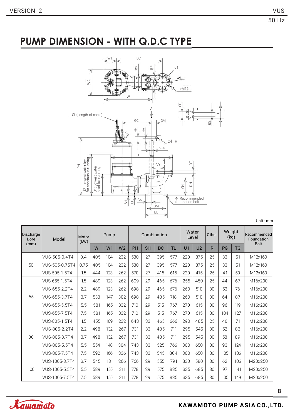### **PUMP DIMENSION - WITH Q.D.C TYPE**



Unit : mm

| Discharge<br><b>Bore</b> | Model          | Motor<br>(kW) | Pump |                |                | Combination |           |     |     | Water<br>Level |                | Other        | Weight<br>(kg) |           | Recommended<br>Foundation |
|--------------------------|----------------|---------------|------|----------------|----------------|-------------|-----------|-----|-----|----------------|----------------|--------------|----------------|-----------|---------------------------|
| (mm)                     |                |               | W    | W <sub>1</sub> | W <sub>2</sub> | PH          | <b>SH</b> | DC  | TL  | U1             | U <sub>2</sub> | $\mathsf{R}$ | PG             | <b>TG</b> | <b>Bolt</b>               |
|                          | VUS-505-0.4T4  | 0.4           | 405  | 104            | 232            | 530         | 27        | 395 | 577 | 220            | 375            | 25           | 33             | 51        | M12x160                   |
| 50                       | VUS-505-0.75T4 | 0.75          | 405  | 104            | 232            | 530         | 27        | 395 | 577 | 220            | 375            | 25           | 33             | 51        | M12x160                   |
|                          | VUS-505-1.5T4  | 1.5           | 444  | 123            | 262            | 570         | 27        | 415 | 615 | 220            | 415            | 25           | 41             | 59        | M12x160                   |
|                          | VUS-655-1.5T4  | 1.5           | 489  | 123            | 262            | 609         | 29        | 465 | 676 | 255            | 450            | 25           | 44             | 67        | M16x200                   |
|                          | VUS-655-2.2T4  | 2.2           | 489  | 123            | 262            | 698         | 29        | 465 | 676 | 260            | 510            | 30           | 53             | 76        | M16x200                   |
| 65                       | VUS-655-3.7T4  | 3.7           | 533  | 147            | 302            | 698         | 29        | 485 | 718 | 260            | 510            | 30           | 64             | 87        | M16x200                   |
|                          | VUS-655-5.5T4  | 5.5           | 581  | 165            | 332            | 710         | 29        | 515 | 767 | 270            | 615            | 30           | 96             | 119       | M16x200                   |
|                          | VUS-655-7.5T4  | 7.5           | 581  | 165            | 332            | 710         | 29        | 515 | 767 | 270            | 615            | 30           | 104            | 127       | M16x200                   |
|                          | VUS-805-1.5T4  | 1.5           | 455  | 109            | 232            | 643         | 33        | 465 | 666 | 290            | 485            | 25           | 40             | 71        | M16x200                   |
|                          | VUS-805-2.2T4  | 2.2           | 498  | 132            | 267            | 731         | 33        | 485 | 711 | 295            | 545            | 30           | 52             | 83        | M16x200                   |
| 80                       | VUS-805-3.7T4  | 3.7           | 498  | 132            | 267            | 731         | 33        | 485 | 711 | 295            | 545            | 30           | 58             | 89        | M16x200                   |
|                          | VUS-805-5.5T4  | 5.5           | 554  | 148            | 304            | 743         | 33        | 525 | 766 | 300            | 650            | 30           | 93             | 124       | M16x200                   |
|                          | VUS-805-7.5T4  | 7.5           | 592  | 166            | 336            | 743         | 33        | 545 | 804 | 300            | 650            | 30           | 105            | 136       | M16x200                   |
|                          | VUS-1005-3.7T4 | 3.7           | 545  | 131            | 266            | 766         | 29        | 555 | 791 | 330            | 580            | 30           | 62             | 106       | M20x250                   |
| 100                      | VUS-1005-5.5T4 | 5.5           | 589  | 155            | 311            | 778         | 29        | 575 | 835 | 335            | 685            | 30           | 97             | 141       | M20x250                   |
|                          | VUS-1005-7.5T4 | 7.5           | 589  | 155            | 311            | 778         | 29        | 575 | 835 | 335            | 685            | 30           | 105            | 149       | M20x250                   |

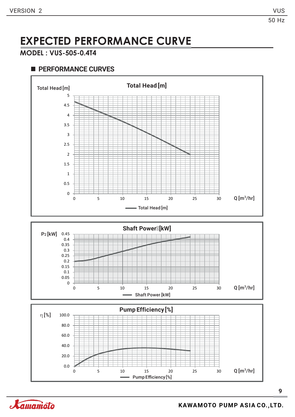#### **MODEL : VUS-505-0.4T4**

#### **PERFORMANCE CURVES**



**9**

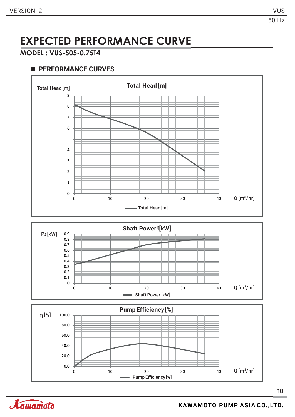#### **MODEL : VUS-505-0.75T4**



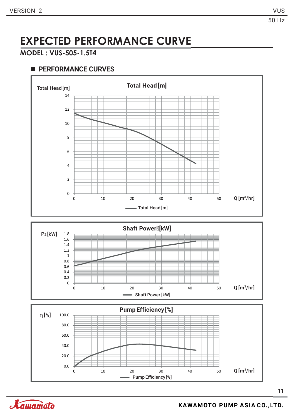### **MODEL : VUS-505-1.5T4**



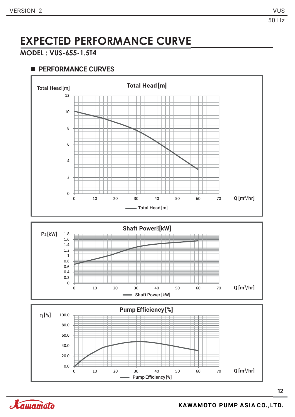### **MODEL : VUS-655-1.5T4**



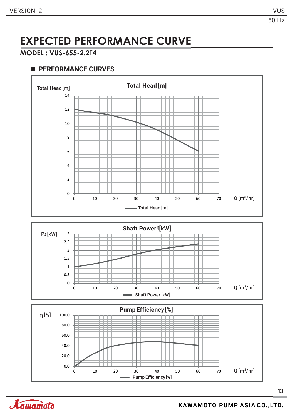### **MODEL : VUS-655-2.2T4**



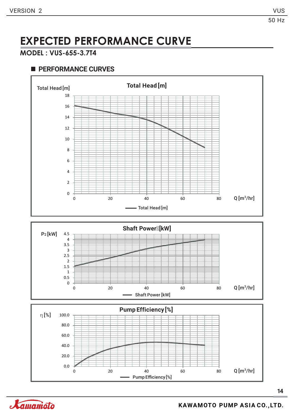### **MODEL : VUS-655-3.7T4**



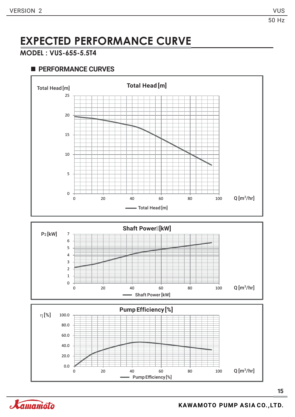#### **MODEL : VUS-655-5.5T4**



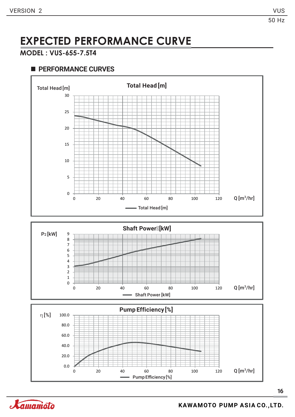### **MODEL : VUS-655-7.5T4**



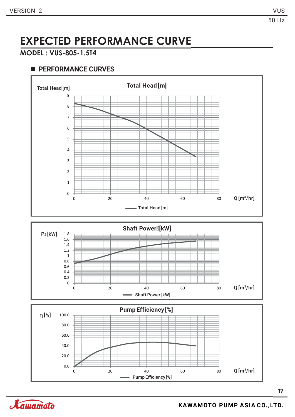### **MODEL : VUS-805-1.5T4**



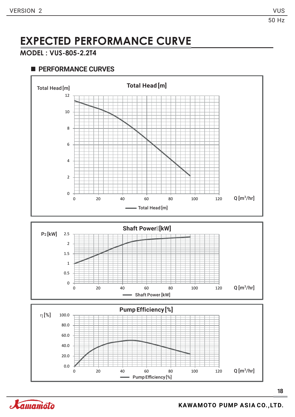#### **MODEL : VUS-805-2.2T4**

#### **PERFORMANCE CURVES**







**18**

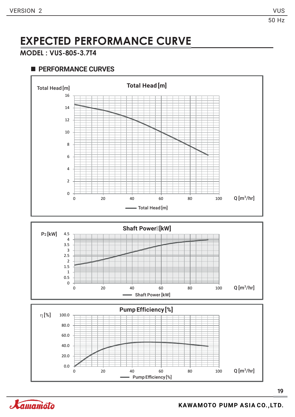### **MODEL : VUS-805-3.7T4**



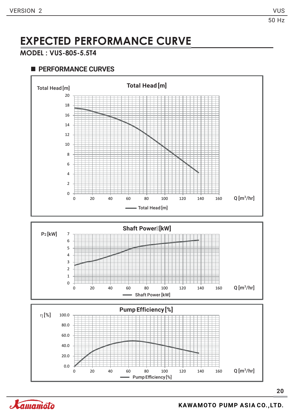#### **MODEL : VUS-805-5.5T4**



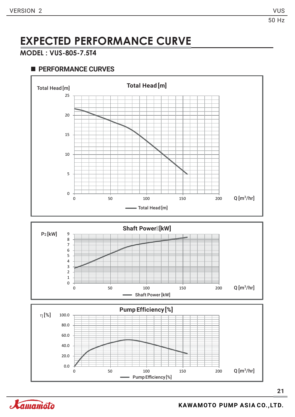#### **MODEL : VUS-805-7.5T4**



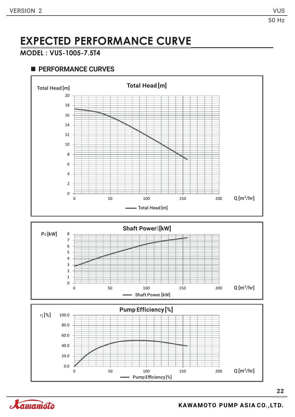#### **MODEL : VUS-1005-7.5T4**